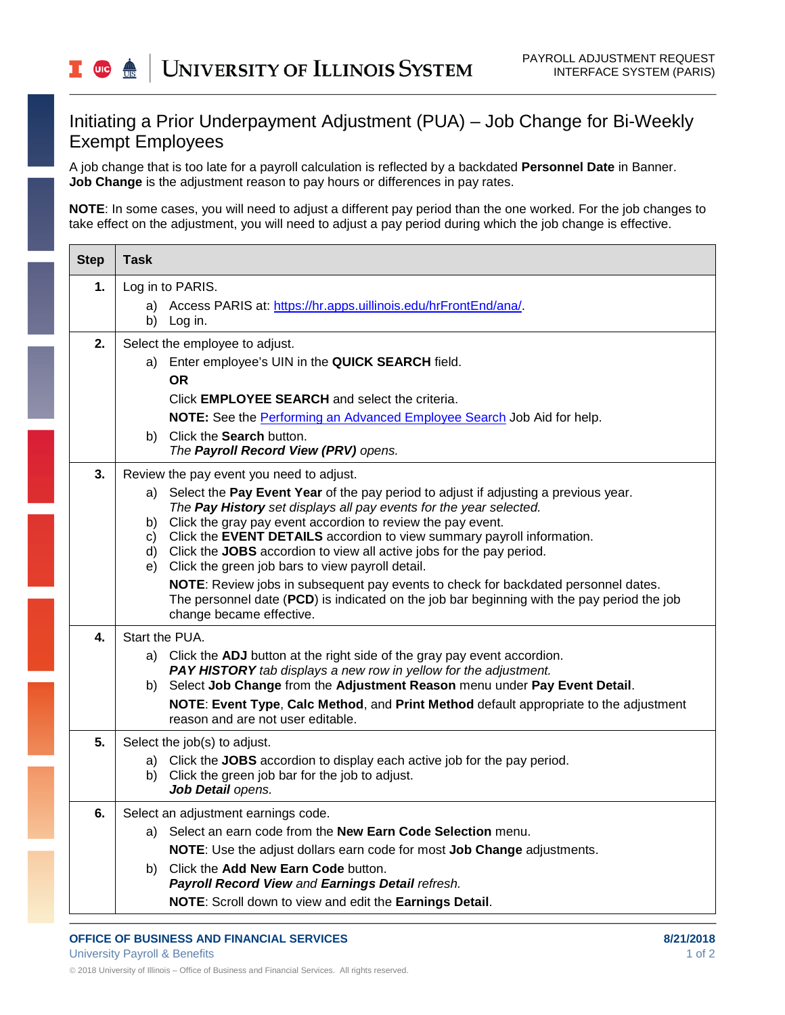## Initiating a Prior Underpayment Adjustment (PUA) – Job Change for Bi-Weekly Exempt Employees

A job change that is too late for a payroll calculation is reflected by a backdated **Personnel Date** in Banner. **Job Change** is the adjustment reason to pay hours or differences in pay rates.

**NOTE**: In some cases, you will need to adjust a different pay period than the one worked. For the job changes to take effect on the adjustment, you will need to adjust a pay period during which the job change is effective.

| <b>Task</b>                                                                                                                                                                                                                                                                                                                                                                                                                                                                                                                                                                                                                                                                                               |
|-----------------------------------------------------------------------------------------------------------------------------------------------------------------------------------------------------------------------------------------------------------------------------------------------------------------------------------------------------------------------------------------------------------------------------------------------------------------------------------------------------------------------------------------------------------------------------------------------------------------------------------------------------------------------------------------------------------|
| Log in to PARIS.                                                                                                                                                                                                                                                                                                                                                                                                                                                                                                                                                                                                                                                                                          |
| Access PARIS at: https://hr.apps.uillinois.edu/hrFrontEnd/ana/.<br>a)<br>b) Log in.                                                                                                                                                                                                                                                                                                                                                                                                                                                                                                                                                                                                                       |
| Select the employee to adjust.<br>Enter employee's UIN in the QUICK SEARCH field.<br>a)<br><b>OR</b><br>Click <b>EMPLOYEE SEARCH</b> and select the criteria.<br>NOTE: See the Performing an Advanced Employee Search Job Aid for help.<br>b) Click the Search button.<br>The Payroll Record View (PRV) opens.                                                                                                                                                                                                                                                                                                                                                                                            |
| Review the pay event you need to adjust.<br>a) Select the Pay Event Year of the pay period to adjust if adjusting a previous year.<br>The Pay History set displays all pay events for the year selected.<br>b) Click the gray pay event accordion to review the pay event.<br>c) Click the EVENT DETAILS accordion to view summary payroll information.<br>d) Click the JOBS accordion to view all active jobs for the pay period.<br>e) Click the green job bars to view payroll detail.<br>NOTE: Review jobs in subsequent pay events to check for backdated personnel dates.<br>The personnel date (PCD) is indicated on the job bar beginning with the pay period the job<br>change became effective. |
| Start the PUA.<br>a) Click the ADJ button at the right side of the gray pay event accordion.<br>PAY HISTORY tab displays a new row in yellow for the adjustment.<br>Select Job Change from the Adjustment Reason menu under Pay Event Detail.<br>b)<br>NOTE: Event Type, Calc Method, and Print Method default appropriate to the adjustment<br>reason and are not user editable.                                                                                                                                                                                                                                                                                                                         |
| Select the job(s) to adjust.<br>a) Click the JOBS accordion to display each active job for the pay period.<br>b) Click the green job bar for the job to adjust.<br>Job Detail opens.                                                                                                                                                                                                                                                                                                                                                                                                                                                                                                                      |
| Select an adjustment earnings code.<br>Select an earn code from the New Earn Code Selection menu.<br>a)<br>NOTE: Use the adjust dollars earn code for most Job Change adjustments.<br>Click the Add New Earn Code button.<br>b).<br>Payroll Record View and Earnings Detail refresh.<br>NOTE: Scroll down to view and edit the Earnings Detail.                                                                                                                                                                                                                                                                                                                                                           |
|                                                                                                                                                                                                                                                                                                                                                                                                                                                                                                                                                                                                                                                                                                           |